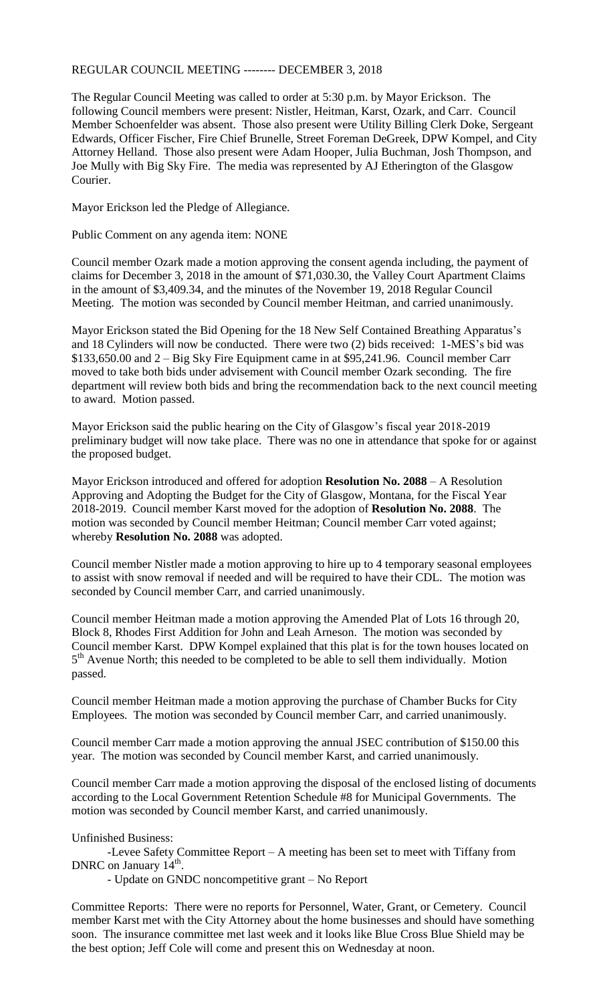## REGULAR COUNCIL MEETING -------- DECEMBER 3, 2018

The Regular Council Meeting was called to order at 5:30 p.m. by Mayor Erickson. The following Council members were present: Nistler, Heitman, Karst, Ozark, and Carr. Council Member Schoenfelder was absent. Those also present were Utility Billing Clerk Doke, Sergeant Edwards, Officer Fischer, Fire Chief Brunelle, Street Foreman DeGreek, DPW Kompel, and City Attorney Helland. Those also present were Adam Hooper, Julia Buchman, Josh Thompson, and Joe Mully with Big Sky Fire. The media was represented by AJ Etherington of the Glasgow Courier.

Mayor Erickson led the Pledge of Allegiance.

Public Comment on any agenda item: NONE

Council member Ozark made a motion approving the consent agenda including, the payment of claims for December 3, 2018 in the amount of \$71,030.30, the Valley Court Apartment Claims in the amount of \$3,409.34, and the minutes of the November 19, 2018 Regular Council Meeting. The motion was seconded by Council member Heitman, and carried unanimously.

Mayor Erickson stated the Bid Opening for the 18 New Self Contained Breathing Apparatus's and 18 Cylinders will now be conducted. There were two (2) bids received: 1-MES's bid was \$133,650.00 and 2 – Big Sky Fire Equipment came in at \$95,241.96. Council member Carr moved to take both bids under advisement with Council member Ozark seconding. The fire department will review both bids and bring the recommendation back to the next council meeting to award. Motion passed.

Mayor Erickson said the public hearing on the City of Glasgow's fiscal year 2018-2019 preliminary budget will now take place. There was no one in attendance that spoke for or against the proposed budget.

Mayor Erickson introduced and offered for adoption **Resolution No. 2088** – A Resolution Approving and Adopting the Budget for the City of Glasgow, Montana, for the Fiscal Year 2018-2019. Council member Karst moved for the adoption of **Resolution No. 2088**. The motion was seconded by Council member Heitman; Council member Carr voted against; whereby **Resolution No. 2088** was adopted.

Council member Nistler made a motion approving to hire up to 4 temporary seasonal employees to assist with snow removal if needed and will be required to have their CDL. The motion was seconded by Council member Carr, and carried unanimously.

Council member Heitman made a motion approving the Amended Plat of Lots 16 through 20, Block 8, Rhodes First Addition for John and Leah Arneson. The motion was seconded by Council member Karst. DPW Kompel explained that this plat is for the town houses located on 5<sup>th</sup> Avenue North; this needed to be completed to be able to sell them individually. Motion passed.

Council member Heitman made a motion approving the purchase of Chamber Bucks for City Employees. The motion was seconded by Council member Carr, and carried unanimously.

Council member Carr made a motion approving the annual JSEC contribution of \$150.00 this year. The motion was seconded by Council member Karst, and carried unanimously.

Council member Carr made a motion approving the disposal of the enclosed listing of documents according to the Local Government Retention Schedule #8 for Municipal Governments. The motion was seconded by Council member Karst, and carried unanimously.

Unfinished Business:

-Levee Safety Committee Report – A meeting has been set to meet with Tiffany from DNRC on January 14<sup>th</sup>.

- Update on GNDC noncompetitive grant – No Report

Committee Reports: There were no reports for Personnel, Water, Grant, or Cemetery. Council member Karst met with the City Attorney about the home businesses and should have something soon. The insurance committee met last week and it looks like Blue Cross Blue Shield may be the best option; Jeff Cole will come and present this on Wednesday at noon.